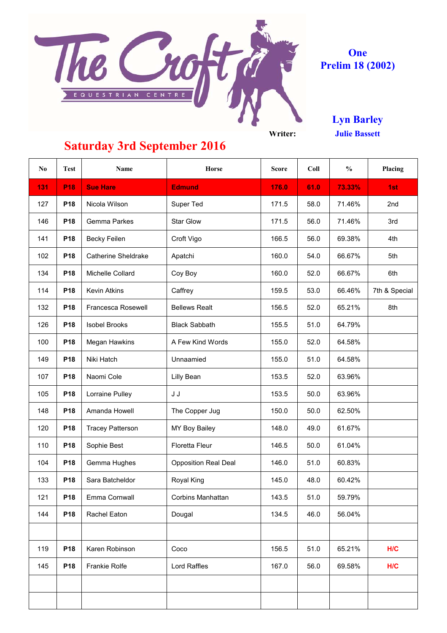

### **Prelim 18 (2002) One**

**Julie Bassett Lyn Barley**

| N <sub>0</sub> | <b>Test</b>     | Name                       | Horse                       | <b>Score</b> | Coll | $\frac{0}{0}$ | Placing       |
|----------------|-----------------|----------------------------|-----------------------------|--------------|------|---------------|---------------|
| 131            | P <sub>18</sub> | <b>Sue Hare</b>            | <b>Edmund</b>               | 176.0        | 61.0 | 73.33%        | 1st           |
| 127            | P18             | Nicola Wilson              | Super Ted                   | 171.5        | 58.0 | 71.46%        | 2nd           |
| 146            | P18             | Gemma Parkes               | Star Glow                   | 171.5        | 56.0 | 71.46%        | 3rd           |
| 141            | P18             | <b>Becky Feilen</b>        | Croft Vigo                  | 166.5        | 56.0 | 69.38%        | 4th           |
| 102            | P18             | <b>Catherine Sheldrake</b> | Apatchi                     | 160.0        | 54.0 | 66.67%        | 5th           |
| 134            | P18             | Michelle Collard           | Coy Boy                     | 160.0        | 52.0 | 66.67%        | 6th           |
| 114            | P18             | <b>Kevin Atkins</b>        | Caffrey                     | 159.5        | 53.0 | 66.46%        | 7th & Special |
| 132            | P18             | Francesca Rosewell         | <b>Bellews Realt</b>        | 156.5        | 52.0 | 65.21%        | 8th           |
| 126            | P18             | <b>Isobel Brooks</b>       | <b>Black Sabbath</b>        | 155.5        | 51.0 | 64.79%        |               |
| 100            | P18             | Megan Hawkins              | A Few Kind Words            | 155.0        | 52.0 | 64.58%        |               |
| 149            | P18             | Niki Hatch                 | Unnaamied                   | 155.0        | 51.0 | 64.58%        |               |
| 107            | P18             | Naomi Cole                 | Lilly Bean                  | 153.5        | 52.0 | 63.96%        |               |
| 105            | P18             | Lorraine Pulley            | J J                         | 153.5        | 50.0 | 63.96%        |               |
| 148            | P18             | Amanda Howell              | The Copper Jug              | 150.0        | 50.0 | 62.50%        |               |
| 120            | P18             | <b>Tracey Patterson</b>    | MY Boy Bailey               | 148.0        | 49.0 | 61.67%        |               |
| 110            | P18             | Sophie Best                | Floretta Fleur              | 146.5        | 50.0 | 61.04%        |               |
| 104            | P18             | Gemma Hughes               | <b>Opposition Real Deal</b> | 146.0        | 51.0 | 60.83%        |               |
| 133            | P18             | Sara Batcheldor            | Royal King                  | 145.0        | 48.0 | 60.42%        |               |
| 121            | P18             | Emma Cornwall              | Corbins Manhattan           | 143.5        | 51.0 | 59.79%        |               |
| 144            | P18             | Rachel Eaton               | Dougal                      | 134.5        | 46.0 | 56.04%        |               |
|                |                 |                            |                             |              |      |               |               |
| 119            | P18             | Karen Robinson             | Coco                        | 156.5        | 51.0 | 65.21%        | H/C           |
| 145            | P18             | Frankie Rolfe              | Lord Raffles                | 167.0        | 56.0 | 69.58%        | H/C           |
|                |                 |                            |                             |              |      |               |               |
|                |                 |                            |                             |              |      |               |               |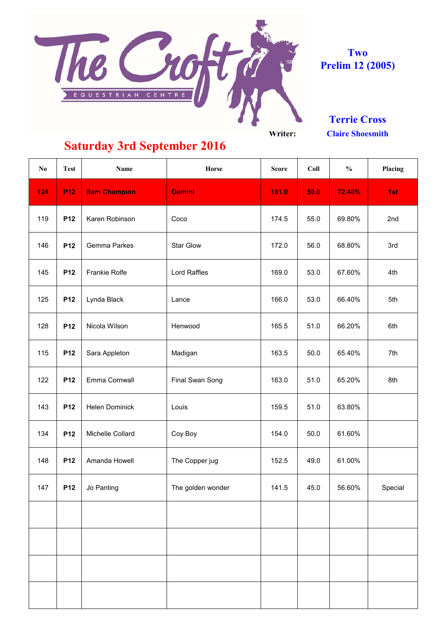

**Two Prelim 12 (2005)**

**Terrie Cross**

**Claire Shoesmith**

| $\mathbf{N}\mathbf{o}$ | <b>Test</b>     | <b>Name</b>         | Horse             | <b>Score</b> | Coll | $\frac{0}{0}$ | Placing |
|------------------------|-----------------|---------------------|-------------------|--------------|------|---------------|---------|
| 124                    | <b>P12</b>      | <b>Sam Champion</b> | <b>Gemini</b>     | 181.0        | 59.0 | 72.40%        | 1st     |
| 119                    | P12             | Karen Robinson      | Coco              | 174.5        | 55.0 | 69.80%        | 2nd     |
| 146                    | P12             | Gemma Parkes        | <b>Star Glow</b>  | 172.0        | 56.0 | 68.80%        | 3rd     |
| 145                    | P <sub>12</sub> | Frankie Rolfe       | Lord Raffles      | 169.0        | 53.0 | 67.60%        | 4th     |
| 125                    | P <sub>12</sub> | Lynda Black         | Lance             | 166.0        | 53.0 | 66.40%        | 5th     |
| 128                    | P12             | Nicola Wilson       | Henwood           | 165.5        | 51.0 | 66.20%        | 6th     |
| 115                    | P <sub>12</sub> | Sara Appleton       | Madigan           | 163.5        | 50.0 | 65.40%        | 7th     |
| 122                    | P <sub>12</sub> | Emma Cornwall       | Final Swan Song   | 163.0        | 51.0 | 65.20%        | 8th     |
| 143                    | P <sub>12</sub> | Helen Dominick      | Louis             | 159.5        | 51.0 | 63.80%        |         |
| 134                    | P <sub>12</sub> | Michelle Collard    | Coy Boy           | 154.0        | 50.0 | 61.60%        |         |
| 148                    | P <sub>12</sub> | Amanda Howell       | The Copper jug    | 152.5        | 49.0 | 61.00%        |         |
| 147                    | P12             | Jo Panting          | The golden wonder | 141.5        | 45.0 | 56.60%        | Special |
|                        |                 |                     |                   |              |      |               |         |
|                        |                 |                     |                   |              |      |               |         |
|                        |                 |                     |                   |              |      |               |         |
|                        |                 |                     |                   |              |      |               |         |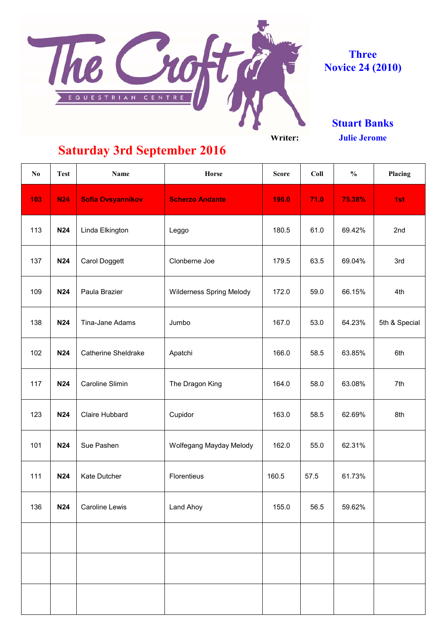

**Three Novice 24 (2010)**

> **Stuart Banks Julie Jerome**

**Saturday 3rd September 2016**

**No Test Name Horse Score Coll % Placing** 103 | N24 | Sofia Ovsyannikov | **Scherzo Andante | 196.0 | 71.0 | 75.38%** | 1st 113 | **N24** | Linda Elkington | Leggo | 180.5 | 61.0 | 69.42% | 2nd 137 | **N24** | Carol Doggett | Clonberne Joe | 179.5 | 63.5 | 69.04% | 3rd 109 **N24** Paula Brazier **Net All Allers** Spring Melody | 172.0 | 59.0 | 66.15% | 4th 138 | **N24** | Tina-Jane Adams | Jumbo | 167.0 | 53.0 | 64.23% | 5th & Special 102 | **N24** | Catherine Sheldrake | Apatchi | 166.0 | 58.5 | 63.85% | 6th 117 | **N24** | Caroline Slimin | The Dragon King | 164.0 | 58.0 | 63.08% | 7th 123 | **N24** | Claire Hubbard | Cupidor | 163.0 | 58.5 | 62.69% | 8th 101 | **N24** | Sue Pashen | Wolfegang Mayday Melody | 162.0 | 55.0 | 62.31% 111 **N24** Kate Dutcher **Florentieus** 160.5 57.5 61.73% 136 | **N24** | Caroline Lewis | Land Ahoy | 155.0 | 56.5 | 59.62%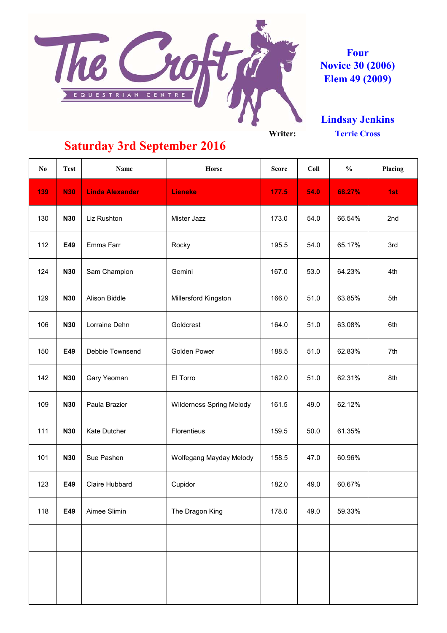

**Four Novice 30 (2006) Elem 49 (2009)**

**Lindsay Jenkins Terrie Cross**

| N <sub>0</sub> | <b>Test</b> | <b>Name</b>            | Horse                    | <b>Score</b> | Coll | $\frac{0}{0}$ | Placing |
|----------------|-------------|------------------------|--------------------------|--------------|------|---------------|---------|
| 139            | <b>N30</b>  | <b>Linda Alexander</b> | Lieneke                  | 177.5        | 54.0 | 68.27%        | 1st     |
| 130            | <b>N30</b>  | Liz Rushton            | Mister Jazz              | 173.0        | 54.0 | 66.54%        | 2nd     |
| 112            | E49         | Emma Farr              | Rocky                    | 195.5        | 54.0 | 65.17%        | 3rd     |
| 124            | <b>N30</b>  | Sam Champion           | Gemini                   | 167.0        | 53.0 | 64.23%        | 4th     |
| 129            | <b>N30</b>  | Alison Biddle          | Millersford Kingston     | 166.0        | 51.0 | 63.85%        | 5th     |
| 106            | <b>N30</b>  | Lorraine Dehn          | Goldcrest                | 164.0        | 51.0 | 63.08%        | 6th     |
| 150            | E49         | Debbie Townsend        | Golden Power             | 188.5        | 51.0 | 62.83%        | 7th     |
| 142            | <b>N30</b>  | Gary Yeoman            | El Torro                 | 162.0        | 51.0 | 62.31%        | 8th     |
| 109            | <b>N30</b>  | Paula Brazier          | Wilderness Spring Melody | 161.5        | 49.0 | 62.12%        |         |
| 111            | <b>N30</b>  | Kate Dutcher           | Florentieus              | 159.5        | 50.0 | 61.35%        |         |
| 101            | <b>N30</b>  | Sue Pashen             | Wolfegang Mayday Melody  | 158.5        | 47.0 | 60.96%        |         |
| 123            | E49         | Claire Hubbard         | Cupidor                  | 182.0        | 49.0 | 60.67%        |         |
| 118            | E49         | Aimee Slimin           | The Dragon King          | 178.0        | 49.0 | 59.33%        |         |
|                |             |                        |                          |              |      |               |         |
|                |             |                        |                          |              |      |               |         |
|                |             |                        |                          |              |      |               |         |